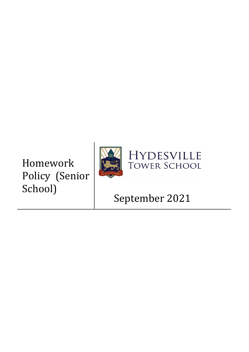# Homework Policy (Senior School)





## September 2021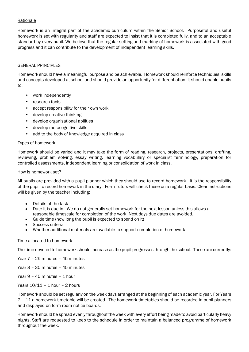## **Rationale**

Homework is an integral part of the academic curriculum within the Senior School. Purposeful and useful homework is set with regularity and staff are expected to insist that it is completed fully, and to an acceptable standard by every pupil. We believe that the regular setting and marking of homework is associated with good progress and it can contribute to the development of independent learning skills.

## GENERAL PRINCIPLES

Homework should have a meaningful purpose and be achievable. Homework should reinforce techniques, skills and concepts developed at school and should provide an opportunity for differentiation. It should enable pupils to:

- work independently
- research facts
- accept responsibility for their own work
- develop creative thinking
- develop organisational abilities
- develop metacognitive skills
- add to the body of knowledge acquired in class

#### Types of homework

Homework should be varied and it may take the form of reading, research, projects, presentations, drafting, reviewing, problem solving, essay writing, learning vocabulary or specialist terminology, preparation for controlled assessments, independent learning or consolidation of work in class.

#### How is homework set?

All pupils are provided with a pupil planner which they should use to record homework. It is the responsibility of the pupil to record homework in the diary. Form Tutors will check these on a regular basis. Clear instructions will be given by the teacher including:

- Details of the task
- Date it is due in. We do not generally set homework for the next lesson unless this allows a reasonable timescale for completion of the work. Next days due dates are avoided.
- Guide time (how long the pupil is expected to spend on it)
- Success criteria
- Whether additional materials are available to support completion of homework

#### Time allocated to homework

The time devoted to homework should increase as the pupil progresses through the school. These are currently:

Year 7 – 25 minutes – 45 minutes

- Year 8 30 minutes 45 minutes
- Year 9 45 minutes 1 hour
- Years  $10/11 1$  hour 2 hours

Homework should be set regularly on the week days arranged at the beginning of each academic year. For Years 7 – 11 a homework timetable will be created. The homework timetables should be recorded in pupil planners and displayed on form room notice boards.

Homework should be spread evenly throughout the week with every effort being made to avoid particularly heavy nights. Staff are requested to keep to the schedule in order to maintain a balanced programme of homework throughout the week.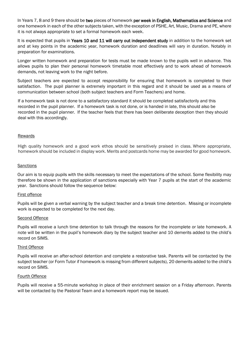In Years 7, 8 and 9 there should be two pieces of homework per week in English, Mathematics and Science and one homework in each of the other subjects taken, with the exception of PSHE, Art, Music, Drama and PE, where it is not always appropriate to set a formal homework each week.

It is expected that pupils in Years 10 and 11 will carry out independent study in addition to the homework set and at key points in the academic year, homework duration and deadlines will vary in duration. Notably in preparation for examinations.

Longer written homework and preparation for tests must be made known to the pupils well in advance. This allows pupils to plan their personal homework timetable most effectively and to work ahead of homework demands, not leaving work to the night before.

Subject teachers are expected to accept responsibility for ensuring that homework is completed to their satisfaction. The pupil planner is extremely important in this regard and it should be used as a means of communication between school (both subject teachers and Form Teachers) and home.

If a homework task is not done to a satisfactory standard it should be completed satisfactorily and this recorded in the pupil planner. If a homework task is not done, or is handed in late, this should also be recorded in the pupil planner. If the teacher feels that there has been deliberate deception then they should deal with this accordingly.

#### Rewards

High quality homework and a good work ethos should be sensitively praised in class. Where appropriate, homework should be included in display work. Merits and postcards home may be awarded for good homework.

#### **Sanctions**

Our aim is to equip pupils with the skills necessary to meet the expectations of the school. Some flexibility may therefore be shown in the application of sanctions especially with Year 7 pupils at the start of the academic year. Sanctions should follow the sequence below:

#### First offence

Pupils will be given a verbal warning by the subject teacher and a break time detention. Missing or incomplete work is expected to be completed for the next day.

#### Second Offence

Pupils will receive a lunch time detention to talk through the reasons for the incomplete or late homework. A note will be written in the pupil's homework diary by the subject teacher and 10 demerits added to the child's record on SIMS.

#### Third Offence

Pupils will receive an after-school detention and complete a restorative task. Parents will be contacted by the subject teacher (or Form Tutor if homework is missing from different subjects), 20 demerits added to the child's record on SIMS.

## Fourth Offence

Pupils will receive a 55-minute workshop in place of their enrichment session on a Friday afternoon. Parents will be contacted by the Pastoral Team and a homework report may be issued.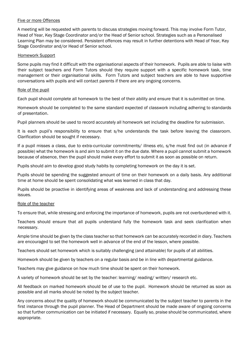## Five or more Offences

A meeting will be requested with parents to discuss strategies moving forward. This may involve Form Tutor, Head of Year, Key Stage Coordinator and/or the Head of Senior school. Strategies such as a Personalised Learning Plan may be considered. Persistent offences may result in further detentions with Head of Year, Key Stage Coordinator and/or Head of Senior school.

#### Homework Support

Some pupils may find it difficult with the organisational aspects of their homework. Pupils are able to liaise with their subject teachers and Form Tutors should they require support with a specific homework task, time management or their organisational skills. Form Tutors and subject teachers are able to have supportive conversations with pupils and will contact parents if there are any ongoing concerns.

#### Role of the pupil

Each pupil should complete all homework to the best of their ability and ensure that it is submitted on time.

Homework should be completed to the same standard expected of classwork including adhering to standards of presentation.

Pupil planners should be used to record accurately all homework set including the deadline for submission.

It is each pupil's responsibility to ensure that s/he understands the task before leaving the classroom. Clarification should be sought if necessary.

If a pupil misses a class, due to extra-curricular commitments/ illness etc, s/he must find out (in advance if possible) what the homework is and aim to submit it on the due date. Where a pupil cannot submit a homework because of absence, then the pupil should make every effort to submit it as soon as possible on return.

Pupils should aim to develop good study habits by completing homework on the day it is set.

Pupils should be spending the suggested amount of time on their homework on a daily basis. Any additional time at home should be spent consolidating what was learned in class that day.

Pupils should be proactive in identifying areas of weakness and lack of understanding and addressing these issues.

## Role of the teacher

To ensure that, while stressing and enforcing the importance of homework, pupils are not overburdened with it.

Teachers should ensure that all pupils understand fully the homework task and seek clarification when necessary.

Ample time should be given by the class teacher so that homework can be accurately recorded in diary. Teachers are encouraged to set the homework well in advance of the end of the lesson, where possible.

Teachers should set homework which is suitably challenging (and attainable) for pupils of all abilities.

Homework should be given by teachers on a regular basis and be in line with departmental guidance.

Teachers may give guidance on how much time should be spent on their homework.

A variety of homework should be set by the teacher: learning/ reading/ written/ research etc.

All feedback on marked homework should be of use to the pupil. Homework should be returned as soon as possible and all marks should be noted by the subject teacher.

Any concerns about the quality of homework should be communicated by the subject teacher to parents in the first instance through the pupil planner. The Head of Department should be made aware of ongoing concerns so that further communication can be initiated if necessary. Equally so, praise should be communicated, where appropriate.